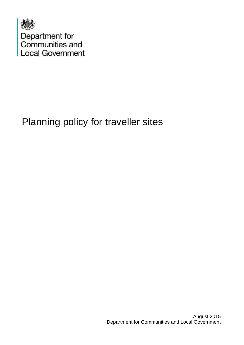

# Planning policy for traveller sites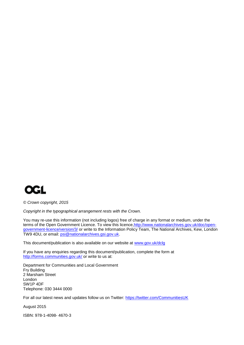

*© Crown copyright, 2015*

*Copyright in the typographical arrangement rests with the Crown.*

You may re-use this information (not including logos) free of charge in any format or medium, under the terms of the Open Government Licence. To view this licence, http://www.nationalarchives.gov.uk/doc/open[government-licence/version/3/](http://www.nationalarchives.gov.uk/doc/open-government-licence/version/3/) or write to the Information Policy Team, The National Archives, Kew, London TW9 4DU, or email: [psi@nationalarchives.gsi.gov.uk.](mailto:psi@nationalarchives.gsi.gov.uk)

This document/publication is also available on our website at [www.gov.uk/dclg](http://www.gov.uk/dclg)

If you have any enquiries regarding this document/publication, complete the form at <http://forms.communities.gov.uk/> or write to us at:

Department for Communities and Local Government Fry Building 2 Marsham Street London SW1P 4DF Telephone: 030 3444 0000

For all our latest news and updates follow us on Twitter:<https://twitter.com/CommunitiesUK>

August 2015

ISBN: 978-1-4098- 4670-3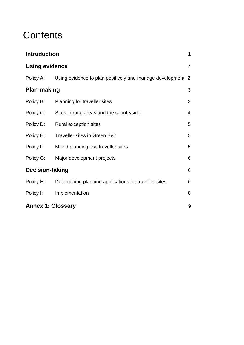### **Contents**

| <b>Introduction</b>      |                                                            | $\mathbf 1$     |
|--------------------------|------------------------------------------------------------|-----------------|
| <b>Using evidence</b>    |                                                            | $\overline{2}$  |
| Policy A:                | Using evidence to plan positively and manage development 2 |                 |
| <b>Plan-making</b>       |                                                            | 3               |
| Policy B:                | Planning for traveller sites                               | 3               |
| Policy C:                | Sites in rural areas and the countryside                   | 4               |
| Policy D:                | Rural exception sites                                      | 5               |
| Policy E:                | <b>Traveller sites in Green Belt</b>                       | 5               |
| Policy F:                | Mixed planning use traveller sites                         | 5               |
| Policy G:                | Major development projects                                 | 6               |
| <b>Decision-taking</b>   |                                                            | $6\phantom{1}6$ |
| Policy H:                | Determining planning applications for traveller sites      | $6\phantom{1}6$ |
| Policy I:                | Implementation                                             | 8               |
| <b>Annex 1: Glossary</b> |                                                            | 9               |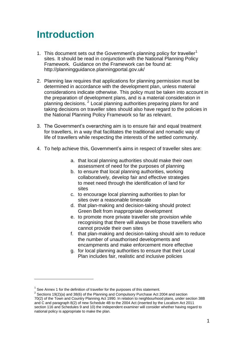### **Introduction**

- 1. This document sets out the Government's planning policy for traveller<sup>1</sup> sites. It should be read in conjunction with the National Planning Policy Framework. Guidance on the Framework can be found at: http://planningguidance.planningportal.gov.uk/
- 2. Planning law requires that applications for planning permission must be determined in accordance with the development plan, unless material considerations indicate otherwise. This policy must be taken into account in the preparation of development plans, and is a material consideration in planning decisions. <sup>2</sup> Local planning authorities preparing plans for and taking decisions on traveller sites should also have regard to the policies in the National Planning Policy Framework so far as relevant.
- 3. The Government's overarching aim is to ensure fair and equal treatment for travellers, in a way that facilitates the traditional and nomadic way of life of travellers while respecting the interests of the settled community.
- 4. To help achieve this, Government's aims in respect of traveller sites are:
	- a. that local planning authorities should make their own assessment of need for the purposes of planning
	- b. to ensure that local planning authorities, working collaboratively, develop fair and effective strategies to meet need through the identification of land for sites
	- c. to encourage local planning authorities to plan for sites over a reasonable timescale
	- d. that plan-making and decision-taking should protect Green Belt from inappropriate development
	- e. to promote more private traveller site provision while recognising that there will always be those travellers who cannot provide their own sites
	- f. that plan-making and decision-taking should aim to reduce the number of unauthorised developments and encampments and make enforcement more effective
	- g. for local planning authorities to ensure that their Local Plan includes fair, realistic and inclusive policies

l

 $1$  See Annex 1 for the definition of traveller for the purposes of this statement.

 $2^{2}$  Sections 19(2)(a) and 38(6) of the Planning and Compulsory Purchase Act 2004 and section 70(2) of the Town and Country Planning Act 1990. In relation to neighbourhood plans, under section 38B and C and paragraph 8(2) of new Schedule 4B to the 2004 Act (inserted by the Localism Act 2011 section 116 and Schedules 9 and 10) the independent examiner will consider whether having regard to national policy is appropriate to make the plan.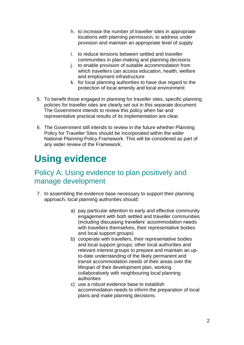- h. to increase the number of traveller sites in appropriate locations with planning permission, to address under provision and maintain an appropriate level of supply
- i. to reduce tensions between settled and traveller communities in plan-making and planning decisions
- j. to enable provision of suitable accommodation from which travellers can access education, health, welfare and employment infrastructure
- k. for local planning authorities to have due regard to the protection of local amenity and local environment
- 5. To benefit those engaged in planning for traveller sites, specific planning policies for traveller sites are clearly set out in this separate document. The Government intends to review this policy when fair and representative practical results of its implementation are clear.
- 6. The Government still intends to review in the future whether Planning Policy for Traveller Sites should be incorporated within the wider National Planning Policy Framework. This will be considered as part of any wider review of the Framework.

# **Using evidence**

#### Policy A: Using evidence to plan positively and manage development

- 7. In assembling the evidence base necessary to support their planning approach, local planning authorities should:
	- a) pay particular attention to early and effective community engagement with both settled and traveller communities (including discussing travellers' accommodation needs with travellers themselves, their representative bodies and local support groups)
	- b) cooperate with travellers, their representative bodies and local support groups; other local authorities and relevant interest groups to prepare and maintain an upto-date understanding of the likely permanent and transit accommodation needs of their areas over the lifespan of their development plan, working collaboratively with neighbouring local planning authorities
	- c) use a robust evidence base to establish accommodation needs to inform the preparation of local plans and make planning decisions.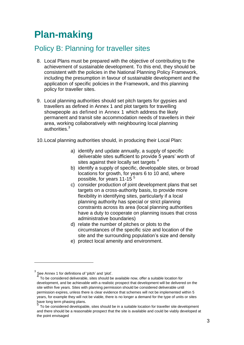# **Plan-making**

#### Policy B: Planning for traveller sites

- 8. Local Plans must be prepared with the objective of contributing to the achievement of sustainable development. To this end, they should be consistent with the policies in the National Planning Policy Framework, including the presumption in favour of sustainable development and the application of specific policies in the Framework, and this planning policy for traveller sites.
- 9. Local planning authorities should set pitch targets for gypsies and travellers as defined in Annex 1 and plot targets for travelling showpeople as defined in Annex 1 which address the likely permanent and transit site accommodation needs of travellers in their area, working collaboratively with neighbouring local planning authorities $3$
- 10.Local planning authorities should, in producing their Local Plan:
	- a) identify and update annually, a supply of specific deliverable sites sufficient to provide 5 years' worth of sites against their locally set targets<sup>4</sup>
	- b) identify a supply of specific, developable sites, or broad locations for growth, for years 6 to 10 and, where possible, for years 11-15<sup>5</sup>
	- c) consider production of joint development plans that set targets on a cross-authority basis, to provide more flexibility in identifying sites, particularly if a local planning authority has special or strict planning constraints across its area (local planning authorities have a duty to cooperate on planning issues that cross administrative boundaries)
	- d) relate the number of pitches or plots to the circumstances of the specific size and location of the site and the surrounding population's size and density
	- e) protect local amenity and environment.

l

<sup>3</sup> See Annex 1 for definitions of 'pitch' and 'plot'.<br>4 To be considered deliverable, sites should be

To be considered deliverable, sites should be available now, offer a suitable location for development, and be achievable with a realistic prospect that development will be delivered on the site within five years. Sites with planning permission should be considered deliverable until permission expires, unless there is clear evidence that schemes will not be implemented within 5 years, for example they will not be viable, there is no longer a demand for the type of units or sites have long term phasing plans.<br>5 Te he canaidated developed

To be considered developable, sites should be in a suitable location for traveller site development and there should be a reasonable prospect that the site is available and could be viably developed at the point envisaged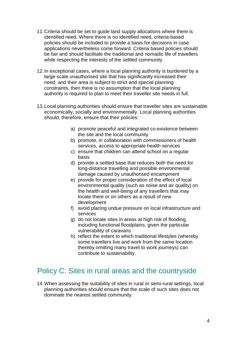- 11.Criteria should be set to guide land supply allocations where there is identified need. Where there is no identified need, criteria-based policies should be included to provide a basis for decisions in case applications nevertheless come forward. Criteria based policies should be fair and should facilitate the traditional and nomadic life of travellers while respecting the interests of the settled community.
- 12.In exceptional cases, where a local planning authority is burdened by a large-scale unauthorised site that has significantly increased their need, and their area is subject to strict and special planning constraints, then there is no assumption that the local planning authority is required to plan to meet their traveller site needs in full.
- 13.Local planning authorities should ensure that traveller sites are sustainable economically, socially and environmentally. Local planning authorities should, therefore, ensure that their policies:
	- a) promote peaceful and integrated co-existence between the site and the local community
	- b) promote, in collaboration with commissioners of health services, access to appropriate health services
	- c) ensure that children can attend school on a regular basis
	- d) provide a settled base that reduces both the need for long-distance travelling and possible environmental damage caused by unauthorised encampment
	- e) provide for proper consideration of the effect of local environmental quality (such as noise and air quality) on the health and well-being of any travellers that may locate there or on others as a result of new development
	- f) avoid placing undue pressure on local infrastructure and services
	- g) do not locate sites in areas at high risk of flooding, including functional floodplains, given the particular vulnerability of caravans
	- h) reflect the extent to which traditional lifestyles (whereby some travellers live and work from the same location thereby omitting many travel to work journeys) can contribute to sustainability.

#### Policy C: Sites in rural areas and the countryside

14.When assessing the suitability of sites in rural or semi-rural settings, local planning authorities should ensure that the scale of such sites does not dominate the nearest settled community.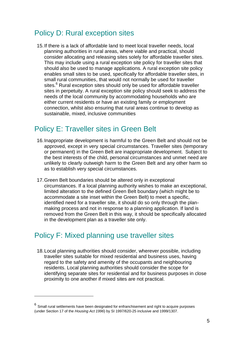#### Policy D: Rural exception sites

15.If there is a lack of affordable land to meet local traveller needs, local planning authorities in rural areas, where viable and practical, should consider allocating and releasing sites solely for affordable traveller sites. This may include using a rural exception site policy for traveller sites that should also be used to manage applications. A rural exception site policy enables small sites to be used, specifically for affordable traveller sites, in small rural communities, that would not normally be used for traveller sites.<sup>6</sup> Rural exception sites should only be used for affordable traveller sites in perpetuity. A rural exception site policy should seek to address the needs of the local community by accommodating households who are either current residents or have an existing family or employment connection, whilst also ensuring that rural areas continue to develop as sustainable, mixed, inclusive communities

#### Policy E: Traveller sites in Green Belt

- 16.Inappropriate development is harmful to the Green Belt and should not be approved, except in very special circumstances. Traveller sites (temporary or permanent) in the Green Belt are inappropriate development. Subject to the best interests of the child, personal circumstances and unmet need are unlikely to clearly outweigh harm to the Green Belt and any other harm so as to establish very special circumstances.
- 17.Green Belt boundaries should be altered only in exceptional circumstances. If a local planning authority wishes to make an exceptional, limited alteration to the defined Green Belt boundary (which might be to accommodate a site inset within the Green Belt) to meet a specific, identified need for a traveller site, it should do so only through the planmaking process and not in response to a planning application. If land is removed from the Green Belt in this way, it should be specifically allocated in the development plan as a traveller site only.

#### Policy F: Mixed planning use traveller sites

l

18.Local planning authorities should consider, wherever possible, including traveller sites suitable for mixed residential and business uses, having regard to the safety and amenity of the occupants and neighbouring residents. Local planning authorities should consider the scope for identifying separate sites for residential and for business purposes in close proximity to one another if mixed sites are not practical.

<sup>6</sup> Small rural settlements have been designated for enfranchisement and right to acquire purposes (under Section 17 of the *Housing Act 1996*) by SI 1997/620-25 inclusive and 1999/1307.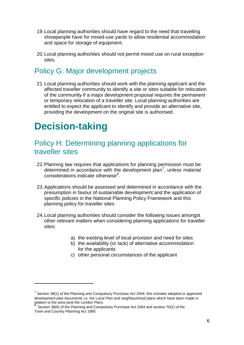- 19.Local planning authorities should have regard to the need that travelling showpeople have for mixed-use yards to allow residential accommodation and space for storage of equipment.
- 20.Local planning authorities should not permit mixed use on rural exception sites.

#### Policy G: Major development projects

21.Local planning authorities should work with the planning applicant and the affected traveller community to identify a site or sites suitable for relocation of the community if a major development proposal requires the permanent or temporary relocation of a traveller site. Local planning authorities are entitled to expect the applicant to identify and provide an alternative site, providing the development on the original site is authorised.

## **Decision-taking**

l

#### Policy H: Determining planning applications for traveller sites

- 22.Planning law requires that applications for planning permission must be determined in accordance with the development plan<sup>7</sup>, unless material considerations indicate otherwise<sup>8</sup>.
- 23.Applications should be assessed and determined in accordance with the presumption in favour of sustainable development and the application of specific policies in the National Planning Policy Framework and this planning policy for traveller sites.
- 24.Local planning authorities should consider the following issues amongst other relevant matters when considering planning applications for traveller sites:
	- a) the existing level of local provision and need for sites
	- b) the availability (or lack) of alternative accommodation for the applicants
	- c) other personal circumstances of the applicant

 $7$  Section 38(1) of the Planning and Compulsory Purchase Act 2004: this includes adopted or approved development plan documents i.e. the Local Plan and neighbourhood plans which have been made in relation to the area (and the London Plan).<br><sup>8</sup> Castian 20(6) of the Planning and Camps

Section 38(6) of the Planning and Compulsory Purchase Act 2004 and section 70(2) of the Town and Country Planning Act 1990.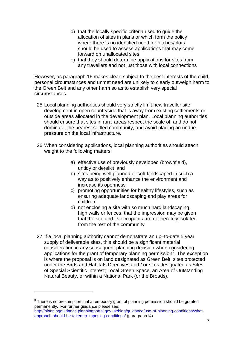- d) that the locally specific criteria used to guide the allocation of sites in plans or which form the policy where there is no identified need for pitches/plots should be used to assess applications that may come forward on unallocated sites
- e) that they should determine applications for sites from any travellers and not just those with local connections

However, as paragraph 16 makes clear, subject to the best interests of the child, personal circumstances and unmet need are unlikely to clearly outweigh harm to the Green Belt and any other harm so as to establish very special circumstances.

- 25.Local planning authorities should very strictly limit new traveller site development in open countryside that is away from existing settlements or outside areas allocated in the development plan. Local planning authorities should ensure that sites in rural areas respect the scale of, and do not dominate, the nearest settled community, and avoid placing an undue pressure on the local infrastructure.
- 26.When considering applications, local planning authorities should attach weight to the following matters:
	- a) effective use of previously developed (brownfield), untidy or derelict land
	- b) sites being well planned or soft landscaped in such a way as to positively enhance the environment and increase its openness
	- c) promoting opportunities for healthy lifestyles, such as ensuring adequate landscaping and play areas for children
	- d) not enclosing a site with so much hard landscaping, high walls or fences, that the impression may be given that the site and its occupants are deliberately isolated from the rest of the community
- 27.If a local planning authority cannot demonstrate an up–to-date 5 year supply of deliverable sites, this should be a significant material consideration in any subsequent planning decision when considering applications for the grant of temporary planning permission<sup>9</sup>. The exception is where the proposal is on land designated as Green Belt; sites protected under the Birds and Habitats Directives and / or sites designated as Sites of Special Scientific Interest; Local Green Space, an Area of Outstanding Natural Beauty, or within a National Park (or the Broads).

l

 $9$  There is no presumption that a temporary grant of planning permission should be granted permanently. For further guidance please see: [http://planningguidance.planningportal.gov.uk/blog/guidance/use-of-planning-conditions/what](http://planningguidance.planningportal.gov.uk/blog/guidance/use-of-planning-conditions/what-approach-should-be-taken-to-imposing-conditions/)[approach-should-be-taken-to-imposing-conditions/](http://planningguidance.planningportal.gov.uk/blog/guidance/use-of-planning-conditions/what-approach-should-be-taken-to-imposing-conditions/) (paragraph14)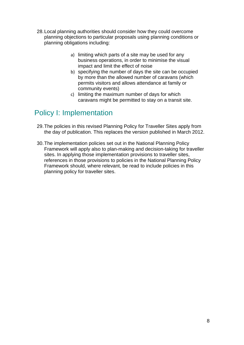- 28.Local planning authorities should consider how they could overcome planning objections to particular proposals using planning conditions or planning obligations including:
	- a) limiting which parts of a site may be used for any business operations, in order to minimise the visual impact and limit the effect of noise
	- b) specifying the number of days the site can be occupied by more than the allowed number of caravans (which permits visitors and allows attendance at family or community events)
	- c) limiting the maximum number of days for which caravans might be permitted to stay on a transit site.

#### Policy I: Implementation

- 29.The policies in this revised Planning Policy for Traveller Sites apply from the day of publication. This replaces the version published in March 2012.
- 30.The implementation policies set out in the National Planning Policy Framework will apply also to plan-making and decision-taking for traveller sites. In applying those implementation provisions to traveller sites, references in those provisions to policies in the National Planning Policy Framework should, where relevant, be read to include policies in this planning policy for traveller sites.